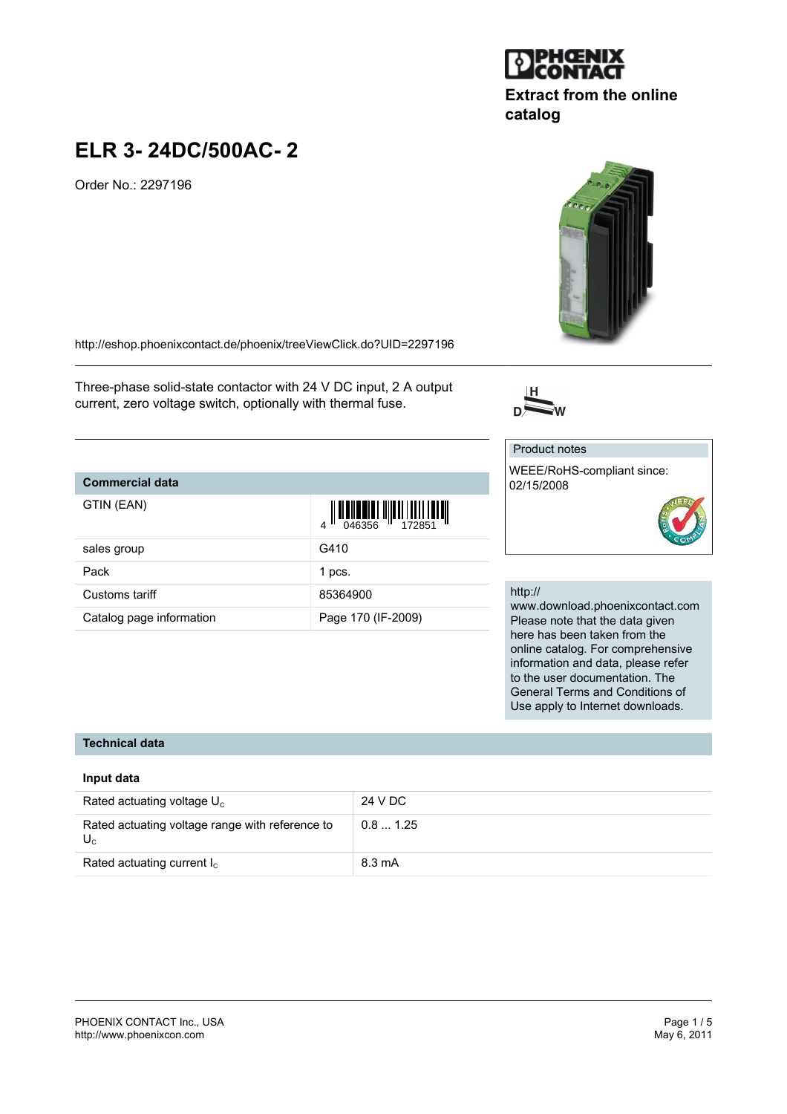### PHOENIX CONTACT Inc., USA Page 1 / 5 <http://www.phoenixcon.com>

# **ELR 3- 24DC/500AC- 2**

Order No.: 2297196

<http://eshop.phoenixcontact.de/phoenix/treeViewClick.do?UID=2297196>

Three-phase solid-state contactor with 24 V DC input, 2 A output current, zero voltage switch, optionally with thermal fuse.

## **Commercial data**

| GTIN (EAN)               |                    |
|--------------------------|--------------------|
| sales group              | G410               |
| Pack                     | 1 pcs.             |
| Customs tariff           | 85364900           |
| Catalog page information | Page 170 (IF-2009) |

## http://

02/15/2008

www.download.phoenixcontact.com Please note that the data given here has been taken from the online catalog. For comprehensive information and data, please refer to the user documentation. The General Terms and Conditions of Use apply to Internet downloads.

## **Technical data**

## **Input data**

| Rated actuating voltage $U_c$                            | 24 V DC          |
|----------------------------------------------------------|------------------|
| Rated actuating voltage range with reference to<br>$U_c$ | 0.81.25          |
| Rated actuating current $I_c$                            | $8.3 \text{ mA}$ |





**catalog**

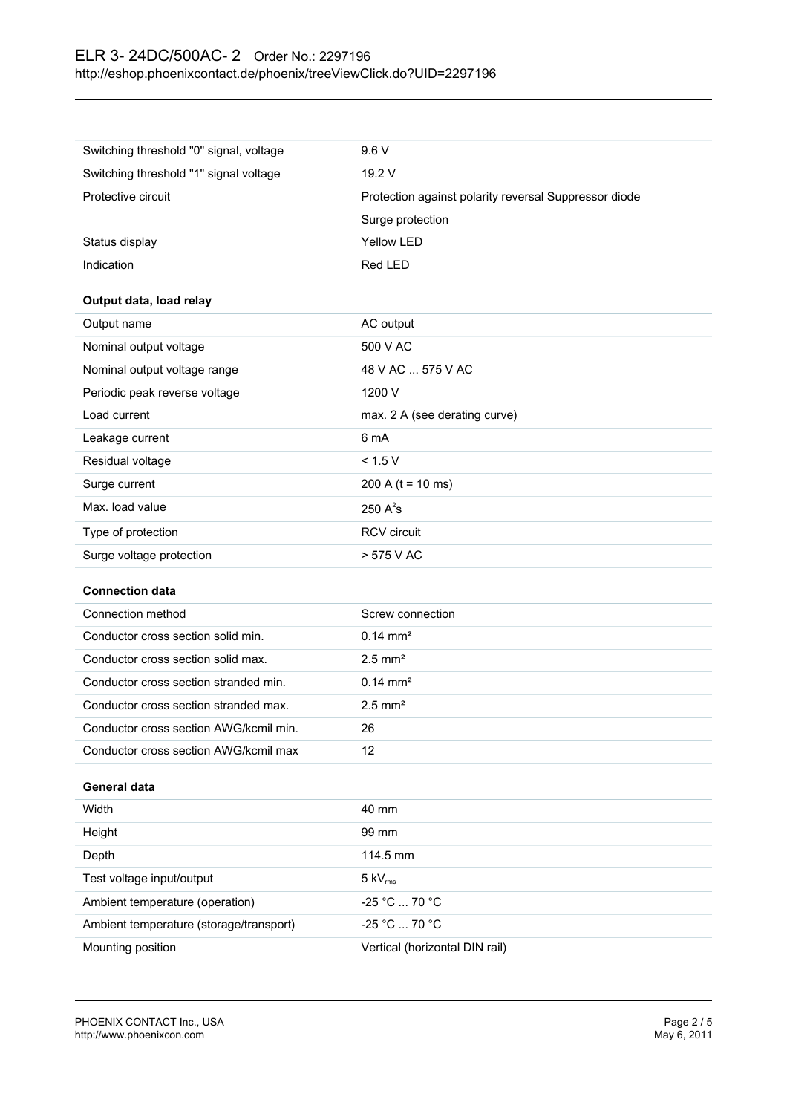## ELR 3- 24DC/500AC- 2 Order No.: 2297196 <http://eshop.phoenixcontact.de/phoenix/treeViewClick.do?UID=2297196>

| Switching threshold "0" signal, voltage | 9.6V                                                  |
|-----------------------------------------|-------------------------------------------------------|
| Switching threshold "1" signal voltage  | 19.2V                                                 |
| Protective circuit                      | Protection against polarity reversal Suppressor diode |
|                                         | Surge protection                                      |
| Status display                          | Yellow LED                                            |
| Indication                              | Red LED                                               |

## **Output data, load relay**

| Output name                   | AC output                     |
|-------------------------------|-------------------------------|
| Nominal output voltage        | 500 V AC                      |
| Nominal output voltage range  | 48 V AC  575 V AC             |
| Periodic peak reverse voltage | 1200 V                        |
| Load current                  | max. 2 A (see derating curve) |
| Leakage current               | 6 mA                          |
| Residual voltage              | < 1.5 V                       |
| Surge current                 | 200 A ( $t = 10$ ms)          |
| Max. load value               | 250 $A^2$ s                   |
| Type of protection            | <b>RCV</b> circuit            |
| Surge voltage protection      | > 575 V AC                    |

## **Connection data**

| Connection method                      | Screw connection      |
|----------------------------------------|-----------------------|
| Conductor cross section solid min.     | $0.14 \text{ mm}^2$   |
| Conductor cross section solid max.     | $2.5$ mm <sup>2</sup> |
| Conductor cross section stranded min.  | $0.14 \text{ mm}^2$   |
| Conductor cross section stranded max.  | $2.5$ mm <sup>2</sup> |
| Conductor cross section AWG/kcmil min. | 26                    |
| Conductor cross section AWG/kcmil max  | 12                    |

## **General data**

| Width                                   | 40 mm                          |
|-----------------------------------------|--------------------------------|
| Height                                  | 99 mm                          |
| Depth                                   | 114.5 mm                       |
| Test voltage input/output               | $5 \text{ kV}_{\text{rms}}$    |
| Ambient temperature (operation)         | $-25 °C  70 °C$                |
| Ambient temperature (storage/transport) | $-25 °C  70 °C$                |
| Mounting position                       | Vertical (horizontal DIN rail) |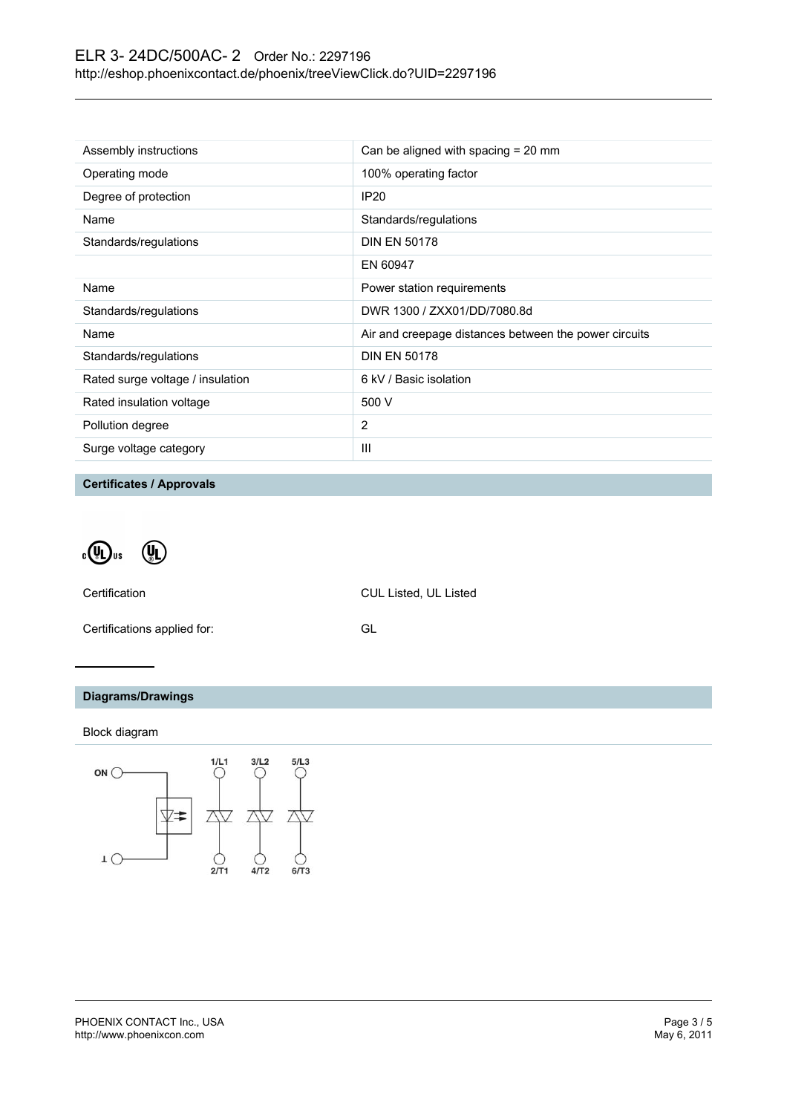| Assembly instructions            | Can be aligned with spacing $= 20$ mm                 |
|----------------------------------|-------------------------------------------------------|
| Operating mode                   | 100% operating factor                                 |
| Degree of protection             | <b>IP20</b>                                           |
| Name                             | Standards/regulations                                 |
| Standards/regulations            | <b>DIN EN 50178</b>                                   |
|                                  | EN 60947                                              |
| Name                             | Power station requirements                            |
| Standards/regulations            | DWR 1300 / ZXX01/DD/7080.8d                           |
| Name                             | Air and creepage distances between the power circuits |
| Standards/regulations            | <b>DIN EN 50178</b>                                   |
| Rated surge voltage / insulation | 6 kV / Basic isolation                                |
| Rated insulation voltage         | 500 V                                                 |
| Pollution degree                 | 2                                                     |
| Surge voltage category           | Ш                                                     |

**Certificates / Approvals**

 $\cdot \mathbb{Q}$ us  $\left(\begin{matrix} 0 \\ 0 \end{matrix}\right)$ 

Certification CUL Listed, UL Listed

Certifications applied for: GL

## **Diagrams/Drawings**

Block diagram

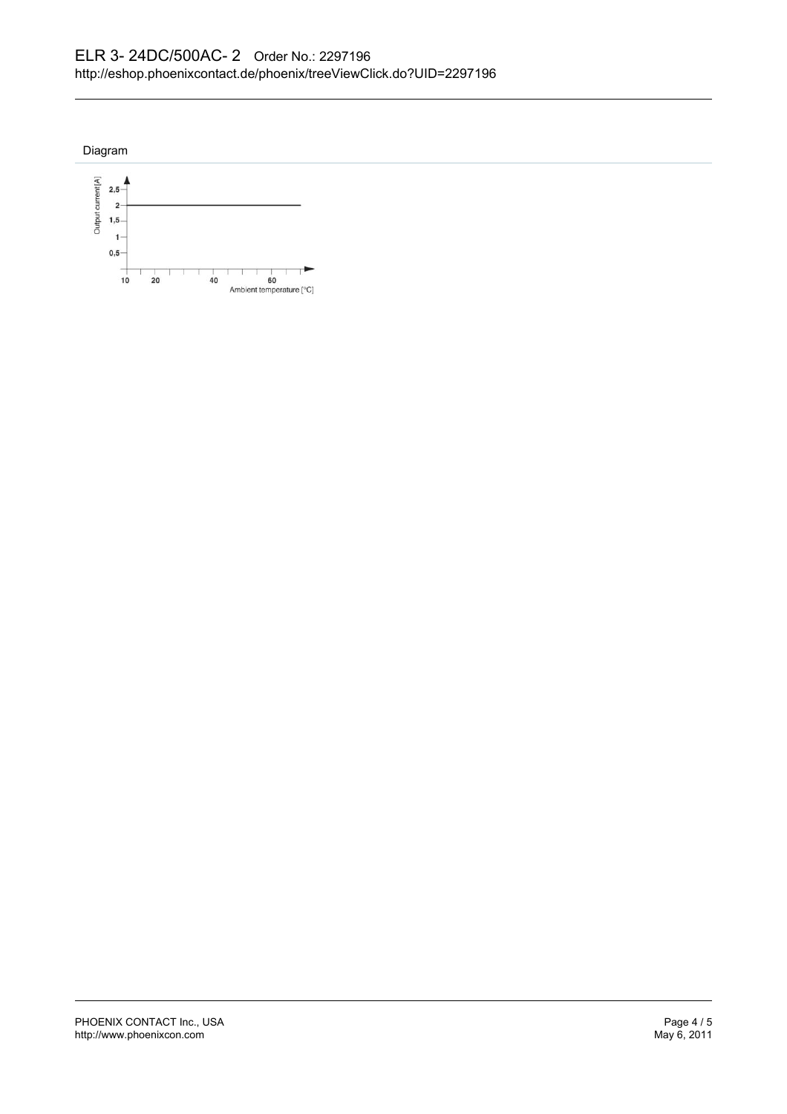